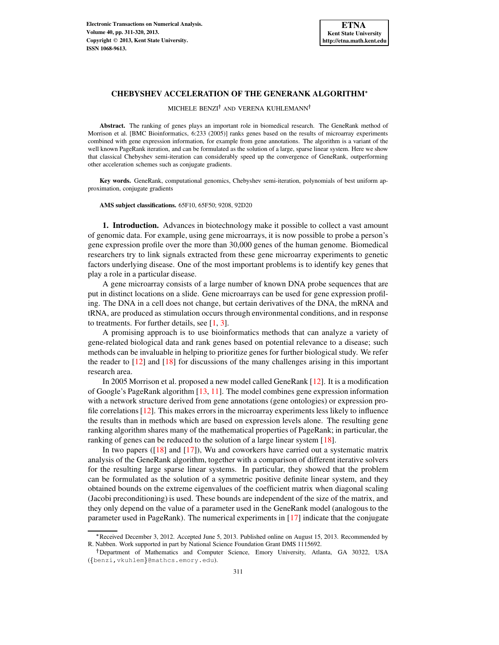# **CHEBYSHEV ACCELERATION OF THE GENERANK ALGORITHM**

MICHELE BENZI<sup>†</sup> AND VERENA KUHLEMANN<sup>†</sup>

**Abstract.** The ranking of genes plays an important role in biomedical research. The GeneRank method of Morrison et al. [BMC Bioinformatics, 6:233 (2005)] ranks genes based on the results of microarray experiments combined with gene expression information, for example from gene annotations. The algorithm is a variant of the well known PageRank iteration, and can be formulated as the solution of a large, sparse linear system. Here we show that classical Chebyshev semi-iteration can considerably speed up the convergence of GeneRank, outperforming other acceleration schemes such as conjugate gradients.

**Key words.** GeneRank, computational genomics, Chebyshev semi-iteration, polynomials of best uniform approximation, conjugate gradients

**AMS subject classifications.** 65F10, 65F50; 9208, 92D20

**1. Introduction.** Advances in biotechnology make it possible to collect a vast amount of genomic data. For example, using gene microarrays, it is now possible to probe a person's gene expression profile over the more than 30,000 genes of the human genome. Biomedical researchers try to link signals extracted from these gene microarray experiments to genetic factors underlying disease. One of the most important problems is to identify key genes that play a role in a particular disease.

A gene microarray consists of a large number of known DNA probe sequences that are put in distinct locations on a slide. Gene microarrays can be used for gene expression profiling. The DNA in a cell does not change, but certain derivatives of the DNA, the mRNA and tRNA, are produced as stimulation occurs through environmental conditions, and in response to treatments. For further details, see  $[1, 3]$  $[1, 3]$  $[1, 3]$ .

A promising approach is to use bioinformatics methods that can analyze a variety of gene-related biological data and rank genes based on potential relevance to a disease; such methods can be invaluable in helping to prioritize genes for further biological study. We refer the reader to  $\left[12\right]$  and  $\left[18\right]$  for discussions of the many challenges arising in this important research area.

In 2005 Morrison et al. proposed a new model called GeneRank [\[12\]](#page-8-2). It is a modification of Google's PageRank algorithm [\[13,](#page-8-3) [11\]](#page-8-4). The model combines gene expression information with a network structure derived from gene annotations (gene ontologies) or expression profile correlations [\[12\]](#page-8-2). This makes errors in the microarray experiments less likely to influence the results than in methods which are based on expression levels alone. The resulting gene ranking algorithm shares many of the mathematical properties of PageRank; in particular, the ranking of genes can be reduced to the solution of a large linear system [\[18\]](#page-9-0).

In two papers ([\[18\]](#page-9-0) and [\[17\]](#page-9-1)), Wu and coworkers have carried out a systematic matrix analysis of the GeneRank algorithm, together with a comparison of different iterative solvers for the resulting large sparse linear systems. In particular, they showed that the problem can be formulated as the solution of a symmetric positive definite linear system, and they obtained bounds on the extreme eigenvalues of the coefficient matrix when diagonal scaling (Jacobi preconditioning) is used. These bounds are independent of the size of the matrix, and they only depend on the value of a parameter used in the GeneRank model (analogous to the parameter used in PageRank). The numerical experiments in [\[17\]](#page-9-1) indicate that the conjugate

<sup>-</sup> Received December 3, 2012. Accepted June 5, 2013. Published online on August 15, 2013. Recommended by R. Nabben. Work supported in part by National Science Foundation Grant DMS 1115692.

<sup>&</sup>lt;sup>†</sup>Department of Mathematics and Computer Science, Emory University, Atlanta, GA 30322, USA ({benzi, vkuhlem}@mathcs.emory.edu).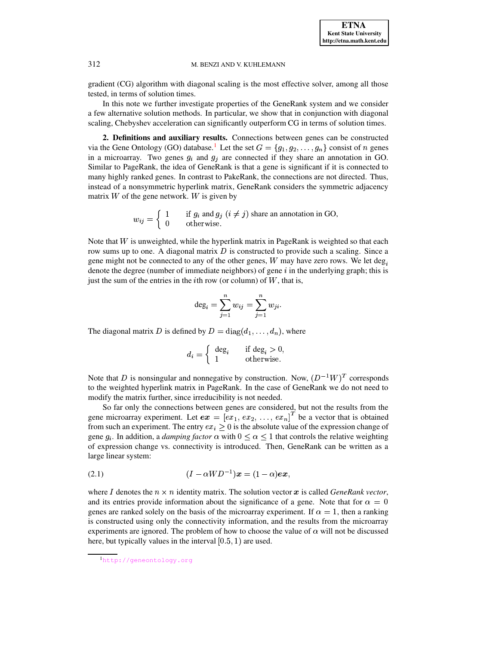**ETNA Kent State University http://etna.math.kent.edu**

# 312 M. BENZI AND V. KUHLEMANN

gradient (CG) algorithm with diagonal scaling is the most effective solver, among all those tested, in terms of solution times.

In this note we further investigate properties of the GeneRank system and we consider a few alternative solution methods. In particular, we show that in conjunction with diagonal scaling, Chebyshev acceleration can significantly outperform CG in terms of solution times.

**2. Definitions and auxiliary results.** Connections between genes can be constructed via the Gene Ontology (GO) database.<sup>[1](#page-1-0)</sup> Let the set  $G = \{g_1, g_2, \ldots, g_n\}$  consist of n genes in a microarray. Two genes  $g_i$  and  $g_j$  are connected if they share an annotation in GO. Similar to PageRank, the idea of GeneRank is that a gene is significant if it is connected to many highly ranked genes. In contrast to PakeRank, the connections are not directed. Thus, instead of a nonsymmetric hyperlink matrix, GeneRank considers the symmetric adjacency matrix  $W$  of the gene network.  $W$  is given by

> $w_{ii} = 5$   $\alpha$ "\$# %'& 1 if  $g_i$  and  $g_j$   $(i \neq j)$  share an annotation in GO,<br>0 otherwise.

Note that  $W$  is unweighted, while the hyperlink matrix in PageRank is weighted so that each row sums up to one. A diagonal matrix  $D$  is constructed to provide such a scaling. Since a gene might not be connected to any of the other genes,  $W$  may have zero rows. We let deg, denote the degree (number of immediate neighbors) of gene  $i$  in the underlying graph; this is just the sum of the entries in the *i*th row (or column) of  $W$ , that is,

$$
\deg_i=\sum_{j=1}^n w_{ij}=\sum_{j=1}^n w_{ji}.
$$

The diagonal matrix D is defined by  $D = \text{diag}(d_1, \ldots, d_n)$ , where

$$
d_i = \begin{cases} \deg_i & \text{if } \deg_i > 0, \\ 1 & \text{otherwise.} \end{cases}
$$

Note that D is nonsingular and nonnegative by construction. Now,  $(D^{-1}W)^T$  corresponds to the weighted hyperlink matrix in PageRank. In the case of GeneRank we do not need to modify the matrix further, since irreducibility is not needed.

So far only the connections between genes are considered, but not the results from the gene microarray experiment. Let  $ex = [ex_1, ex_2, ..., ex_n]^T$  be a vector that is obtained from such an experiment. The entry  $ex_i \geq 0$  is the absolute value of the expression change of gene  $g_i$ . In addition, a *damping factor*  $\alpha$  with  $0 \leq \alpha \leq 1$  that controls the relative weighting of expression change vs. connectivity is introduced. Then, GeneRank can be written as a large linear system:

<span id="page-1-1"></span>
$$
(2.1) \qquad \qquad (I - \alpha W D^{-1})x = (1 - \alpha)ex,
$$

where I denotes the  $n \times n$  identity matrix. The solution vector x is called *GeneRank vector*, and its entries provide information about the significance of a gene. Note that for  $\alpha = 0$ genes are ranked solely on the basis of the microarray experiment. If  $\alpha = 1$ , then a ranking is constructed using only the connectivity information, and the results from the microarray experiments are ignored. The problem of how to choose the value of  $\alpha$  will not be discussed here, but typically values in the interval  $[0.5, 1)$  are used.

<span id="page-1-0"></span><sup>1</sup><http://geneontology.org>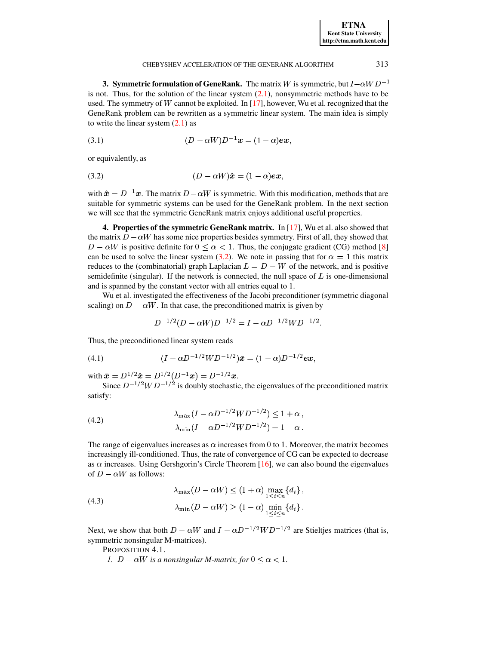#### CHEBYSHEV ACCELERATION OF THE GENERANK ALGORITHM 313

**3. Symmetric formulation of GeneRank.** The matrix W is symmetric, but  $I - \alpha WD^{-1}$ is not. Thus, for the solution of the linear system  $(2.1)$ , nonsymmetric methods have to be used. The symmetry of  $W$  cannot be exploited. In [\[17\]](#page-9-1), however, Wu et al. recognized that the GeneRank problem can be rewritten as a symmetric linear system. The main idea is simply to write the linear system  $(2.1)$  as

(3.1) 
$$
(D - \alpha W)D^{-1}x = (1 - \alpha)ex,
$$

or equivalently, as

<span id="page-2-0"></span>
$$
(3.2) \t\t\t\t(D - \alpha W)\hat{\boldsymbol{x}} = (1 - \alpha)\boldsymbol{e}\boldsymbol{x},
$$

with  $\hat{x} = D^{-1}x$ . The matrix  $D - \alpha W$  is symmetric. With this modification, methods that are suitable for symmetric systems can be used for the GeneRank problem. In the next section we will see that the symmetric GeneRank matrix enjoys additional useful properties.

**4. Properties of the symmetric GeneRank matrix.** In [\[17\]](#page-9-1), Wu et al. also showed that the matrix  $D-\alpha W$  has some nice properties besides symmetry. First of all, they showed that  $D - \alpha W$  is positive definite for  $0 \leq \alpha < 1$ . Thus, the conjugate gradient (CG) method [\[8\]](#page-8-5) can be used to solve the linear system [\(3.2\)](#page-2-0). We note in passing that for  $\alpha = 1$  this matrix reduces to the (combinatorial) graph Laplacian  $L = D - W$  of the network, and is positive semidefinite (singular). If the network is connected, the null space of  $L$  is one-dimensional and is spanned by the constant vector with all entries equal to 1.

Wu et al. investigated the effectiveness of the Jacobi preconditioner (symmetric diagonal scaling) on  $D - \alpha W$ . In that case, the preconditioned matrix is given by

$$
D^{-1/2}(D - \alpha W)D^{-1/2} = I - \alpha D^{-1/2}WD^{-1/2}.
$$

Thus, the preconditioned linear system reads

(4.1) 
$$
(I - \alpha D^{-1/2} W D^{-1/2}) \bar{x} = (1 - \alpha) D^{-1/2} e \bar{x},
$$

with  $\bar{x} = D^{1/2}\hat{x} = D^{1/2}(D^{-1}x) = D^{-1/2}x$ .

Since  $D^{-1/2}WD^{-1/2}$  is doubly stochastic, the eigenvalues of the preconditioned matrix satisfy:

(4.2) 
$$
\lambda_{\max}(I - \alpha D^{-1/2}WD^{-1/2}) \le 1 + \alpha,
$$

$$
\lambda_{\min}(I - \alpha D^{-1/2}WD^{-1/2}) = 1 - \alpha.
$$

The range of eigenvalues increases as  $\alpha$  increases from 0 to 1. Moreover, the matrix becomes increasingly ill-conditioned. Thus, the rate of convergence of CG can be expected to decrease as  $\alpha$  increases. Using Gershgorin's Circle Theorem [\[16\]](#page-9-2), we can also bound the eigenvalues of  $D - \alpha W$  as follows:

(4.3) 
$$
\lambda_{\max}(D - \alpha W) \le (1 + \alpha) \max_{1 \le i \le n} \{d_i\},
$$

$$
\lambda_{\min}(D - \alpha W) \ge (1 - \alpha) \min_{1 \le i \le n} \{d_i\}.
$$

Next, we show that both  $D - \alpha W$  and  $I - \alpha D^{-1/2}WD^{-1/2}$  are Stieltjes matrices (that is, symmetric nonsingular M-matrices).

PROPOSITION 4.1.

*1.*  $D - \alpha W$  is a nonsingular *M-matrix, for*  $0 \leq \alpha < 1$ .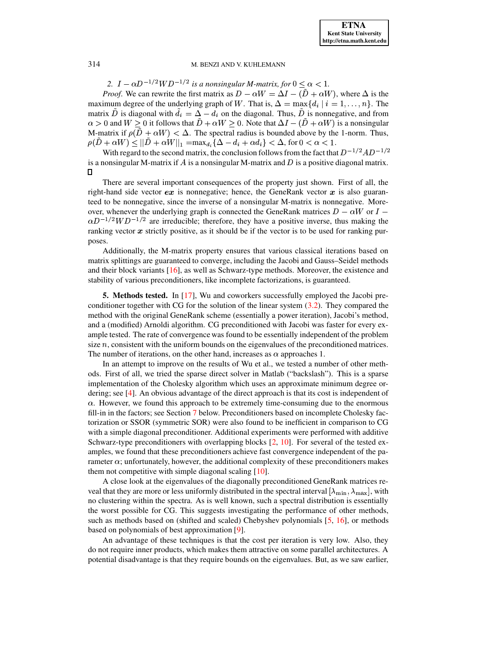## 314 M. BENZI AND V. KUHLEMANN

2.  $I - \alpha D^{-1/2}WD^{-1/2}$  is a nonsingular M-matrix, for  $0 \leq \alpha < 1$ .

*Proof.* We can rewrite the first matrix as  $D - \alpha W = \Delta I - (\bar{D} + \alpha W)$ , where  $\Delta$  is the maximum degree of the underlying graph of W. That is,  $\Delta = \max\{d_i \mid i = 1, ..., n\}$ . The matrix D is diagonal with  $d_i = \Delta - d_i$  on the diagonal. Thus, D is nonnegative, and from . *.* . . . . . <u>.</u> . 0 and  $W \ge 0$  it follows that  $\ddot{D} + \alpha W \ge 0$ . Note that  $\Delta I - (\ddot{D} + \alpha W)$  is a nonsingular M-matrix if  $\rho(\tilde{D} + \alpha W) < \Delta$ . The spectral radius is bounded above by the 1-norm. Thus, ¢(Z=  $\lambda + \alpha W$ )  $\leq ||\ddot{D} + \alpha W||_1 = \max_{d_i} {\{\Delta - d_i + \alpha d_i\}} < \Delta$ , for  $0 < \alpha < 1$ .

With regard to the second matrix, the conclusion follows from the fact that  $D^{-1/2}AD^{-1/2}$ is a nonsingular M-matrix if A is a nonsingular M-matrix and D is a positive diagonal matrix.  $\Box$ 

There are several important consequences of the property just shown. First of all, the right-hand side vector  $ex$  is nonnegative; hence, the GeneRank vector  $x$  is also guaranteed to be nonnegative, since the inverse of a nonsingular M-matrix is nonnegative. Moreover, whenever the underlying graph is connected the GeneRank matrices  $D - \alpha W$  or  $I \alpha D^{-1/2}WD^{-1/2}$  are irreducible; therefore, they have a positive inverse, thus making the ranking vector  $x$  strictly positive, as it should be if the vector is to be used for ranking purposes.

Additionally, the M-matrix property ensures that various classical iterations based on matrix splittings are guaranteed to converge, including the Jacobi and Gauss–Seidel methods and their block variants [\[16\]](#page-9-2), as well as Schwarz-type methods. Moreover, the existence and stability of various preconditioners, like incomplete factorizations, is guaranteed.

**5. Methods tested.** In [\[17\]](#page-9-1), Wu and coworkers successfully employed the Jacobi preconditioner together with CG for the solution of the linear system [\(3.2\)](#page-2-0). They compared the method with the original GeneRank scheme (essentially a power iteration), Jacobi's method, and a (modified) Arnoldi algorithm. CG preconditioned with Jacobi was faster for every example tested. The rate of convergence was found to be essentially independent of the problem size  $n$ , consistent with the uniform bounds on the eigenvalues of the preconditioned matrices. The number of iterations, on the other hand, increases as  $\alpha$  approaches 1.

In an attempt to improve on the results of Wu et al., we tested a number of other methods. First of all, we tried the sparse direct solver in Matlab ("backslash"). This is a sparse implementation of the Cholesky algorithm which uses an approximate minimum degree ordering; see [\[4\]](#page-8-6). An obvious advantage of the direct approach is that its cost is independent of  $\alpha$ . However, we found this approach to be extremely time-consuming due to the enormous fill-in in the factors; see Section [7](#page-5-0) below. Preconditioners based on incomplete Cholesky factorization or SSOR (symmetric SOR) were also found to be inefficient in comparison to CG with a simple diagonal preconditioner. Additional experiments were performed with additive Schwarz-type preconditioners with overlapping blocks  $[2, 10]$  $[2, 10]$  $[2, 10]$ . For several of the tested examples, we found that these preconditioners achieve fast convergence independent of the parameter  $\alpha$ ; unfortunately, however, the additional complexity of these preconditioners makes them not competitive with simple diagonal scaling [\[10\]](#page-8-8).

A close look at the eigenvalues of the diagonally preconditioned GeneRank matrices re-A close look at the eigenvalues of the diagonally preconditioned GeneRank matrices reveal that they are more or less uniformly distributed in the spectral interval  $[\lambda_{\min}, \lambda_{\max}]$ , with no clustering within the spectra. As is well known, such a spectral distribution is essentially the worst possible for CG. This suggests investigating the performance of other methods, such as methods based on (shifted and scaled) Chebyshev polynomials [\[5,](#page-8-9) [16\]](#page-9-2), or methods based on polynomials of best approximation [\[9\]](#page-8-10).

An advantage of these techniques is that the cost per iteration is very low. Also, they do not require inner products, which makes them attractive on some parallel architectures. A potential disadvantage is that they require bounds on the eigenvalues. But, as we saw earlier,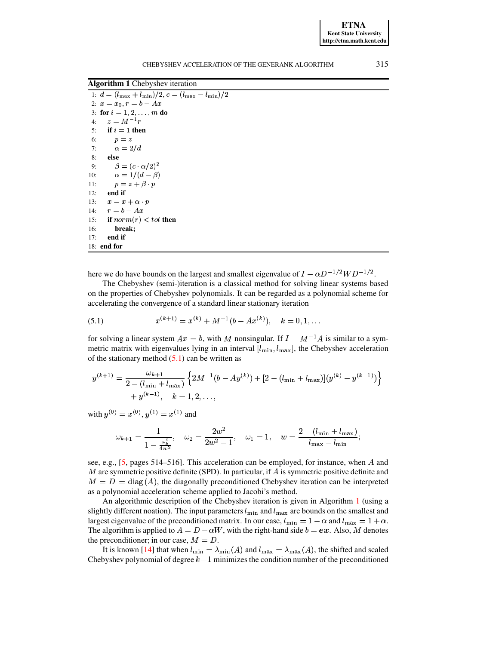<span id="page-4-1"></span>**Algorithm 1** Chebyshev iteration

|     | 1: $d = (l_{\text{max}} + l_{\text{min}})/2$ , $c = (l_{\text{max}} - l_{\text{min}})/2$ |
|-----|------------------------------------------------------------------------------------------|
|     | 2: $x = x_0, r = b - Ax$                                                                 |
|     | 3: for $i = 1, 2, , m$ do                                                                |
| 4:  | $z = M^{-1}r$                                                                            |
|     | 5: if $i = 1$ then                                                                       |
|     | 6:<br>$p = z$                                                                            |
|     | $\alpha = 2/d$<br>7:                                                                     |
| 8:  | else                                                                                     |
| 9:  | $\beta = (c \cdot \alpha/2)^2$                                                           |
| 10: | $\alpha = 1/(d - \beta)$                                                                 |
| 11: | $p = z + \beta \cdot p$                                                                  |
| 12: | end if                                                                                   |
|     | 13: $x = x + \alpha \cdot p$                                                             |
|     | 14: $r = b - Ax$                                                                         |
|     | 15: if $norm(r) < tol$ then                                                              |
| 16: | break:                                                                                   |
| 17: | end if                                                                                   |
|     | $18:$ end for                                                                            |

here we do have bounds on the largest and smallest eigenvalue of  $I - \alpha D^{-1/2}WD^{-1/2}$ .

The Chebyshev (semi-)iteration is a classical method for solving linear systems based on the properties of Chebyshev polynomials. It can be regarded as a polynomial scheme for accelerating the convergence of a standard linear stationary iteration

<span id="page-4-0"></span>(5.1) 
$$
x^{(k+1)} = x^{(k)} + M^{-1}(b - Ax^{(k)}), \quad k = 0, 1, ...
$$

for solving a linear system  $Ax = b$ , with M nonsingular. If  $I - M^{-1}A$  is similar to a symmetric matrix with eigenvalues lying in an interval  $[l_{\min}, l_{\max}]$ , the Chebyshev acceleration of the stationary method  $(5.1)$  can be written as

$$
y^{(k+1)} = \frac{\omega_{k+1}}{2 - (l_{\min} + l_{\max})} \left\{ 2M^{-1}(b - Ay^{(k)}) + [2 - (l_{\min} + l_{\max})](y^{(k)} - y^{(k-1)}) \right\} + y^{(k-1)}, \quad k = 1, 2, \dots,
$$

with  $y^{(0)} = x^{(0)}$ ,  $y^{(1)} = x^{(1)}$  and

$$
\omega_{k+1} = \frac{1}{1-\frac{\omega_k^2}{4w^2}}, \quad \omega_2 = \frac{2w^2}{2w^2-1}, \quad \omega_1 = 1, \quad w = \frac{2-(l_{\min}+l_{\max})}{l_{\max}-l_{\min}};
$$

see, e.g., [5, pages 514–516]. This acceleration can be employed, for instance, when A and M are symmetric positive definite (SPD). In particular, if  $A$  is symmetric positive definite and  $M = D = \text{diag}(A)$ , the diagonally preconditioned Chebyshev iteration can be interpreted as a polynomial acceleration scheme applied to Jacobi's method.

An algorithmic description of the Chebyshev iteration is given in Algorithm 1 (using a slightly different noation). The input parameters  $l_{\min}$  and  $l_{\max}$  are bounds on the smallest and largest eigenvalue of the preconditioned matrix. In our case,  $l_{\min} = 1 - \alpha$  and  $l_{\max} = 1 + \alpha$ . The algorithm is applied to  $A = D - \alpha W$ , with the right-hand side  $b = ex$ . Also, M denotes the preconditioner; in our case,  $M = D$ .

It is known [14] that when  $l_{\min} = \lambda_{\min}(A)$  and  $l_{\max} = \lambda_{\max}(A)$ , the shifted and scaled Chebyshev polynomial of degree  $k-1$  minimizes the condition number of the preconditioned

315

**ETNA Kent State University** http://etna.math.kent.edu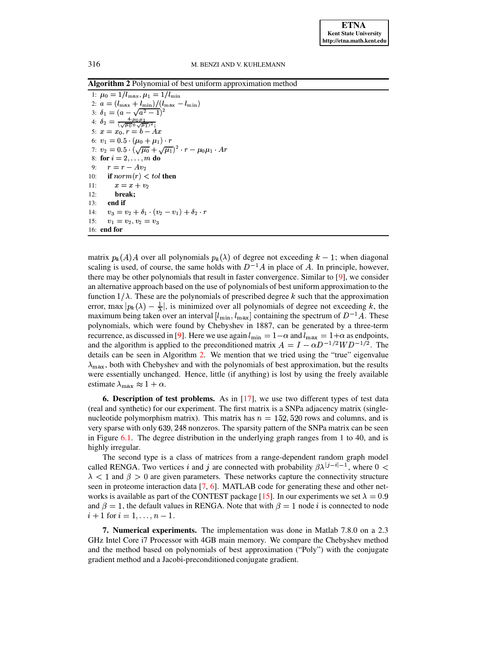<span id="page-5-1"></span>Algorithm 2 Polynomial of best uniform approximation method

1:  $\mu_0 = 1/l_{\text{max}}, \mu_1 = 1/l_{\text{min}}$ 2:  $a = (l_{\text{max}} + \underline{l_{\text{min}}})/(l_{\text{max}} - l_{\text{min}})$ 3:  $\delta_1 = (a - \sqrt{a^2 - 1})^2$ <br>
4:  $\delta_2 = \frac{4 \cdot \mu_0 \mu_1}{(\sqrt{\mu_0} + \sqrt{\mu_1})^2}$ <br>
5:  $x = x_0, r = b - Ax$ 6:  $v_1 = 0.5 \cdot (\mu_0 + \mu_1) \cdot r$ 7:  $v_2 = 0.5 \cdot (\sqrt{\mu_0} + \sqrt{\mu_1})^2 \cdot r - \mu_0 \mu_1 \cdot Ar$ 8: for  $i = 2, ..., m$  do  $r = r - Av_2$  $9:$ if  $norm(r) < tol$  then  $10:$  $11:$  $x=x+v_2$  $12:$ break:  $13:$ end if  $v_3 = v_2 + \delta_1 \cdot (v_2 - v_1) + \delta_2 \cdot r$  $14:$  $15:$  $v_1 = v_2, v_2 = v_3$ 16: end for

matrix  $p_k(A)A$  over all polynomials  $p_k(\lambda)$  of degree not exceeding  $k-1$ ; when diagonal scaling is used, of course, the same holds with  $D^{-1}A$  in place of A. In principle, however, there may be other polynomials that result in faster convergence. Similar to [9], we consider an alternative approach based on the use of polynomials of best uniform approximation to the function  $1/\lambda$ . These are the polynomials of prescribed degree k such that the approximation error, max  $|p_k(\lambda) - \frac{1}{\lambda}|$ , is minimized over all polynomials of degree not exceeding k, the maximum being taken over an interval  $[l_{\min}, l_{\max}]$  containing the spectrum of  $D^{-1}A$ . These polynomials, which were found by Chebyshev in 1887, can be generated by a three-term recurrence, as discussed in [9]. Here we use again  $l_{\min} = 1 - \alpha$  and  $l_{\max} = 1 + \alpha$  as endpoints, and the algorithm is applied to the preconditioned matrix  $A = I - \alpha D^{-1/2} W D^{-1/2}$ . The details can be seen in Algorithm 2. We mention that we tried using the "true" eigenvalue  $\lambda_{\text{max}}$ , both with Chebyshev and with the polynomials of best approximation, but the results were essentially unchanged. Hence, little (if anything) is lost by using the freely available estimate  $\lambda_{\text{max}} \approx 1 + \alpha$ .

**6.** Description of test problems. As in  $[17]$ , we use two different types of test data (real and synthetic) for our experiment. The first matrix is a SNPa adjacency matrix (singlenucleotide polymorphism matrix). This matrix has  $n = 152,520$  rows and columns, and is very sparse with only 639, 248 nonzeros. The sparsity pattern of the SNPa matrix can be seen in Figure  $6.1$ . The degree distribution in the underlying graph ranges from 1 to 40, and is highly irregular.

The second type is a class of matrices from a range-dependent random graph model called RENGA. Two vertices i and j are connected with probability  $\beta \lambda^{j-j-1}$ , where  $0 <$  $\lambda$  < 1 and  $\beta$  > 0 are given parameters. These networks capture the connectivity structure seen in proteome interaction data [7, 6]. MATLAB code for generating these and other networks is available as part of the CONTEST package [15]. In our experiments we set  $\lambda = 0.9$ and  $\beta = 1$ , the default values in RENGA. Note that with  $\beta = 1$  node *i* is connected to node  $i + 1$  for  $i = 1, ..., n - 1$ .

<span id="page-5-0"></span>**7. Numerical experiments.** The implementation was done in Matlab 7.8.0 on a 2.3 GHz Intel Core i7 Processor with 4GB main memory. We compare the Chebyshev method and the method based on polynomials of best approximation ("Poly") with the conjugate gradient method and a Jacobi-preconditioned conjugate gradient.

316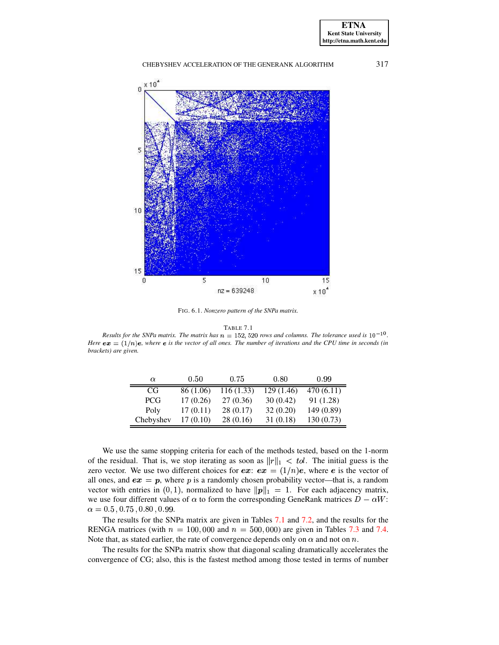317

### CHEBYSHEV ACCELERATION OF THE GENERANK ALGORITHM



<span id="page-6-0"></span>FIG. 6.1. Nonzero pattern of the SNPa matrix.

TABLE 7.1

<span id="page-6-1"></span>Results for the SNPa matrix. The matrix has  $n = 152, 520$  rows and columns. The tolerance used is  $10^{-10}$ . Here  $ex = (1/n)e$ , where e is the vector of all ones. The number of iterations and the CPU time in seconds (in brackets) are given.

| $\alpha$   | 0.50      | 0.75       | 0.80      | 0.99      |
|------------|-----------|------------|-----------|-----------|
| CG         | 86 (1.06) | 116 (1.33) | 129(1.46) | 470(6.11) |
| <b>PCG</b> | 17(0.26)  | 27 (0.36)  | 30(0.42)  | 91 (1.28) |
| Poly       | 17(0.11)  | 28(0.17)   | 32(0.20)  | 149(0.89) |
| Chebyshev  | 17(0.10)  | 28(0.16)   | 31 (0.18) | 130(0.73) |

We use the same stopping criteria for each of the methods tested, based on the 1-norm of the residual. That is, we stop iterating as soon as  $||r||_1 < tol$ . The initial guess is the zero vector. We use two different choices for  $ex: ex = (1/n)e$ , where e is the vector of all ones, and  $ex = p$ , where p is a randomly chosen probability vector—that is, a random vector with entries in (0, 1), normalized to have  $||p||_1 = 1$ . For each adjacency matrix, we use four different values of  $\alpha$  to form the corresponding GeneRank matrices  $D - \alpha W$ :  $\alpha = 0.5$ , 0.75, 0.80, 0.99.

The results for the SNPa matrix are given in Tables 7.1 and 7.2, and the results for the RENGA matrices (with  $n = 100,000$  and  $n = 500,000$ ) are given in Tables 7.3 and 7.4. Note that, as stated earlier, the rate of convergence depends only on  $\alpha$  and not on n.

The results for the SNPa matrix show that diagonal scaling dramatically accelerates the convergence of CG; also, this is the fastest method among those tested in terms of number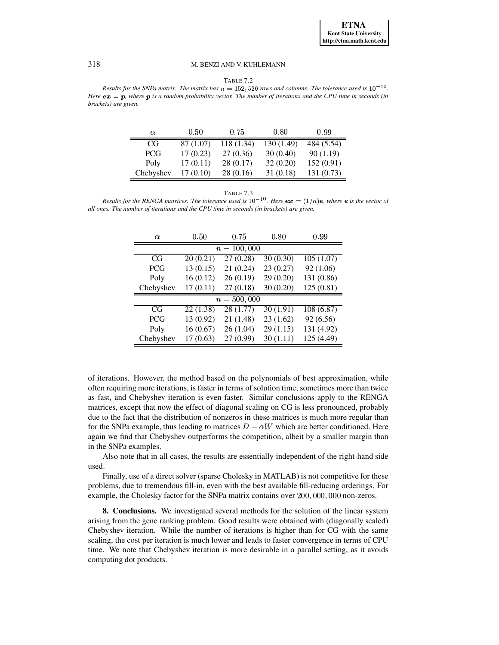### 318 M. BENZI AND V. KUHLEMANN

| ABLE |  |
|------|--|
|------|--|

<span id="page-7-0"></span>*Results* for the SNPa matrix. The matrix has  $n = 152,520$  rows and columns. The tolerance used is  $10^{-10}$ . Here  $ex = p$ , where p is a random probability vector. The number of iterations and the CPU time in seconds (in *brackets) are given.*

| α         | 0.50      | 0.75       | 0.80       | 0.99       |
|-----------|-----------|------------|------------|------------|
| CG        | 87 (1.07) | 118 (1.34) | 130 (1.49) | 484 (5.54) |
| PCG.      | 17(0.23)  | 27(0.36)   | 30(0.40)   | 90(1.19)   |
| Poly      | 17(0.11)  | 28 (0.17)  | 32(0.20)   | 152(0.91)  |
| Chebyshev | 17(0.10)  | 28(0.16)   | 31(0.18)   | 131 (0.73) |

TABLE 7.3

<span id="page-7-1"></span>*Results* for the RENGA matrices. The tolerance used is  $10^{-10}$ . Here  $ex = (1/n)e$ , where e is the vector of *all ones. The number of iterations and the CPU time in seconds (in brackets) are given.*

| $\alpha$      | 0.50      | 0.75      | 0.80      | 0.99       |  |
|---------------|-----------|-----------|-----------|------------|--|
| $n = 100,000$ |           |           |           |            |  |
| CG            | 20(0.21)  | 27 (0.28) | 30(0.30)  | 105(1.07)  |  |
| <b>PCG</b>    | 13(0.15)  | 21 (0.24) | 23(0.27)  | 92 (1.06)  |  |
| Poly          | 16(0.12)  | 26(0.19)  | 29(0.20)  | 131 (0.86) |  |
| Chebyshev     | 17(0.11)  | 27(0.18)  | 30(0.20)  | 125(0.81)  |  |
| $n = 500,000$ |           |           |           |            |  |
| CG            | 22(1.38)  | 28(1.77)  | 30 (1.91) | 108(6.87)  |  |
| <b>PCG</b>    | 13 (0.92) | 21 (1.48) | 23(1.62)  | 92 (6.56)  |  |
| Poly          | 16(0.67)  | 26(1.04)  | 29(1.15)  | 131 (4.92) |  |
| Chebyshev     | 17(0.63)  | 27 (0.99) | 30(1.11)  | 125 (4.49) |  |

of iterations. However, the method based on the polynomials of best approximation, while often requiring more iterations, is faster in terms of solution time, sometimes more than twice as fast, and Chebyshev iteration is even faster. Similar conclusions apply to the RENGA matrices, except that now the effect of diagonal scaling on CG is less pronounced, probably due to the fact that the distribution of nonzeros in these matrices is much more regular than for the SNPa example, thus leading to matrices  $D - \alpha W$  which are better conditioned. Here again we find that Chebyshev outperforms the competition, albeit by a smaller margin than in the SNPa examples.

Also note that in all cases, the results are essentially independent of the right-hand side used.

Finally, use of a direct solver (sparse Cholesky in MATLAB) is not competitive for these problems, due to tremendous fill-in, even with the best available fill-reducing orderings. For example, the Cholesky factor for the SNPa matrix contains over 200, 000, 000 non-zeros.

**8. Conclusions.** We investigated several methods for the solution of the linear system arising from the gene ranking problem. Good results were obtained with (diagonally scaled) Chebyshev iteration. While the number of iterations is higher than for CG with the same scaling, the cost per iteration is much lower and leads to faster convergence in terms of CPU time. We note that Chebyshev iteration is more desirable in a parallel setting, as it avoids computing dot products.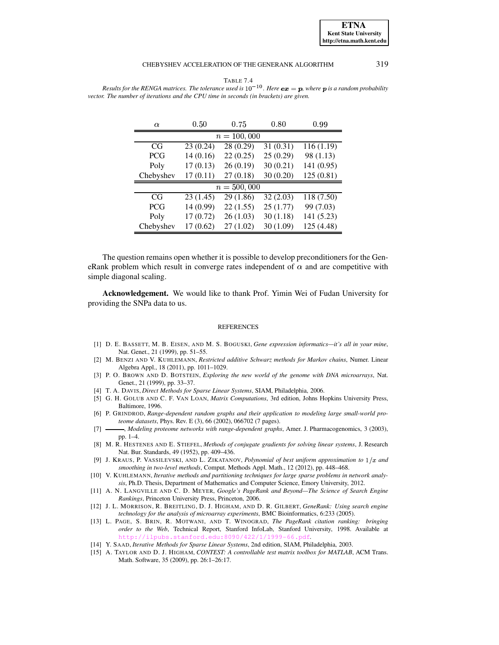#### CHEBYSHEV ACCELERATION OF THE GENERANK ALGORITHM

319

**ETNA Kent State University** http://etna.math.kent.edu

| TABLE 7.4                                                                                                          |
|--------------------------------------------------------------------------------------------------------------------|
| Results for the RENGA matrices. The tolerance used is $10^{-10}$ . Here $ex = p$ , where p is a random probability |
| ector. The number of iterations and the CPU time in seconds (in brackets) are given.                               |

<span id="page-8-15"></span> $\mathbf{1}$ 

| $\alpha$      | 0.50      | 0.75      | 0.80      | 0.99                   |  |
|---------------|-----------|-----------|-----------|------------------------|--|
| $n = 100,000$ |           |           |           |                        |  |
| CG            | 23 (0.24) | 28 (0.29) | 31 (0.31) | 116(1.19)              |  |
| <b>PCG</b>    | 14(0.16)  | 22(0.25)  | 25(0.29)  | 98 (1.13)              |  |
| Poly          | 17(0.13)  | 26(0.19)  | 30(0.21)  | 141 (0.95)             |  |
| Chebyshev     | 17(0.11)  | 27(0.18)  | 30(0.20)  | 125(0.81)              |  |
| $n = 500,000$ |           |           |           |                        |  |
| CG            | 23(1.45)  | 29 (1.86) | 32(2.03)  | $\overline{118(7.50)}$ |  |
| <b>PCG</b>    | 14 (0.99) | 22(1.55)  | 25(1.77)  | 99 (7.03)              |  |
| Poly          | 17(0.72)  | 26(1.03)  | 30(1.18)  | 141 (5.23)             |  |
| Chebyshev     | 17(0.62)  | 27(1.02)  | 30 (1.09) | 125 (4.48)             |  |

The question remains open whether it is possible to develop preconditioners for the GeneRank problem which result in converge rates independent of  $\alpha$  and are competitive with simple diagonal scaling.

Acknowledgement. We would like to thank Prof. Yimin Wei of Fudan University for providing the SNPa data to us.

#### **REFERENCES**

- <span id="page-8-0"></span>[1] D. E. BASSETT, M. B. EISEN, AND M. S. BOGUSKI, Gene expression informatics-it's all in your mine, Nat. Genet., 21 (1999), pp. 51-55.
- <span id="page-8-7"></span>[2] M. BENZI AND V. KUHLEMANN, Restricted additive Schwarz methods for Markov chains, Numer. Linear Algebra Appl., 18 (2011), pp. 1011-1029.
- <span id="page-8-6"></span><span id="page-8-1"></span>[3] P. O. BROWN AND D. BOTSTEIN, Exploring the new world of the genome with DNA microarrays, Nat. Genet., 21 (1999), pp. 33–37.
- [4] T. A. DAVIS, Direct Methods for Sparse Linear Systems, SIAM, Philadelphia, 2006.
- <span id="page-8-9"></span>[5] G. H. GOLUB AND C. F. VAN LOAN, Matrix Computations, 3rd edition, Johns Hopkins University Press, Baltimore, 1996.
- <span id="page-8-13"></span>[6] P. GRINDROD, Range-dependent random graphs and their application to modeling large small-world proteome datasets, Phys. Rev. E (3), 66 (2002), 066702 (7 pages).
- <span id="page-8-12"></span> $[7]$ -, Modeling proteome networks with range-dependent graphs, Amer. J. Pharmacogenomics, 3 (2003), pp. 1-4.
- <span id="page-8-5"></span>[8] M. R. HESTENES AND E. STIEFEL, Methods of conjugate gradients for solving linear systems, J. Research Nat. Bur. Standards, 49 (1952), pp. 409-436.
- <span id="page-8-10"></span>[9] J. KRAUS, P. VASSILEVSKI, AND L. ZIKATANOV, Polynomial of best uniform approximation to  $1/x$  and smoothing in two-level methods, Comput. Methods Appl. Math., 12 (2012), pp. 448-468.
- <span id="page-8-8"></span>[10] V. KUHLEMANN, Iterative methods and partitioning techniques for large sparse problems in network analysis, Ph.D. Thesis, Department of Mathematics and Computer Science, Emory University, 2012.
- <span id="page-8-4"></span>[11] A. N. LANGVILLE AND C. D. MEYER, Google's PageRank and Beyond—The Science of Search Engine Rankings, Princeton University Press, Princeton, 2006.
- <span id="page-8-2"></span>[12] J. L. MORRISON, R. BREITLING, D. J. HIGHAM, AND D. R. GILBERT, GeneRank: Using search engine technology for the analysis of microarray experiments, BMC Bioinformatics, 6:233 (2005).
- <span id="page-8-3"></span>[13] L. PAGE, S. BRIN, R. MOTWANI, AND T. WINOGRAD, The PageRank citation ranking: bringing order to the Web, Technical Report, Stanford InfoLab, Stanford University, 1998. Available at http tanford.
- <span id="page-8-14"></span><span id="page-8-11"></span>[14] Y. SAAD, Iterative Methods for Sparse Linear Systems, 2nd edition, SIAM, Philadelphia, 2003.
- [15] A. TAYLOR AND D. J. HIGHAM, CONTEST: A controllable test matrix toolbox for MATLAB, ACM Trans. Math. Software, 35 (2009), pp. 26:1-26:17.